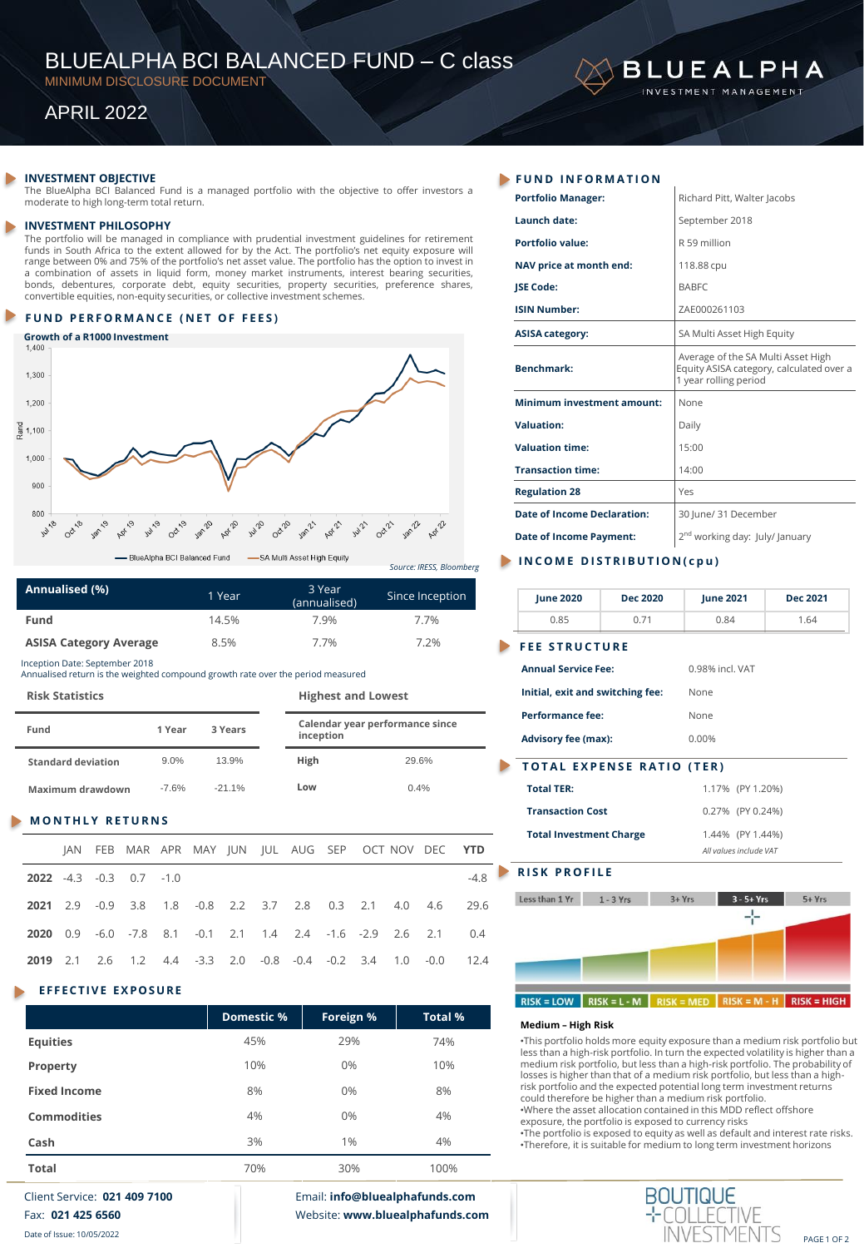# BLUEALPHA BCI BALANCED FUND – C class

MINIMUM DISCLOSURE DOCUMENT

# APRIL 2022

### **INVESTMENT OBJECTIVE**

The BlueAlpha BCI Balanced Fund is a managed portfolio with the objective to offer investors a moderate to high long-term total return.

#### **INVESTMENT PHILOSOPHY**

The portfolio will be managed in compliance with prudential investment guidelines for retirement funds in South Africa to the extent allowed for by the Act. The portfolio's net equity exposure will range between 0% and 75% of the portfolio's net asset value. The portfolio has the option to invest in a combination of assets in liquid form, money market instruments, interest bearing securities, bonds, debentures, corporate debt, equity securities, property securities, preference shares, convertible equities, non-equity securities, or collective investment schemes.

### **FUND PERFORMANCE (NET OF FEES)**

# **Growth of a R1000 Investment**



*Source: IRESS, Bloomberg*

| Annualised (%)                | 1 Year | 3 Year<br>(annualised) | Since Inception |
|-------------------------------|--------|------------------------|-----------------|
| Fund                          | 14.5%  | 7.9%                   | 7.7%            |
| <b>ASISA Category Average</b> | 8.5%   | 7.7%                   | 7.2%            |

Inception Date: September 2018 Annualised return is the weighted compound growth rate over the period measured

**Risk Statistics Highest and Lowest**

| Fund                      | 1 Year  | 3 Years  |     | inception | Calendar year performance since |
|---------------------------|---------|----------|-----|-----------|---------------------------------|
| <b>Standard deviation</b> | 9.0%    | 13.9%    |     | High      | 29.6%                           |
| Maximum drawdown          | $-7.6%$ | $-21.1%$ | Low |           | 0.4%                            |

### **M O N T H L Y R E T U R N S**

|                                      |  |  |  |  |  | JAN FEB MAR APR MAY JUN JUL AUG SEP OCT NOV DEC YTD                   |        |
|--------------------------------------|--|--|--|--|--|-----------------------------------------------------------------------|--------|
| <b>2022</b> $-4.3$ $-0.3$ 0.7 $-1.0$ |  |  |  |  |  |                                                                       | $-4.8$ |
|                                      |  |  |  |  |  | 2021 2.9 -0.9 3.8 1.8 -0.8 2.2 3.7 2.8 0.3 2.1 4.0 4.6 29.6           |        |
|                                      |  |  |  |  |  | <b>2020</b> 0.9 -6.0 -7.8 8.1 -0.1 2.1 1.4 2.4 -1.6 -2.9 2.6 2.1 0.4  |        |
|                                      |  |  |  |  |  | <b>2019</b> 2.1 2.6 1.2 4.4 -3.3 2.0 -0.8 -0.4 -0.2 3.4 1.0 -0.0 12.4 |        |

# **EFFECTIVE EXPOSURE**

|                     | Domestic % | Foreign % | <b>Total %</b> |
|---------------------|------------|-----------|----------------|
| <b>Equities</b>     | 45%        | 29%       | 74%            |
| Property            | 10%        | 0%        | 10%            |
| <b>Fixed Income</b> | 8%         | 0%        | 8%             |
| <b>Commodities</b>  | 4%         | 0%        | 4%             |
| Cash                | 3%         | 1%        | 4%             |
| <b>Total</b>        | 70%        | 30%       | 100%           |

Client Service: **021 409 7100** Fax: **021 425 6560**

Date of Issue: 10/05/2022

Email: **info@bluealphafunds.com** Website: **www.bluealphafunds.com**

# **F U N D I N F O R M A T I O N**

| Richard Pitt, Walter Jacobs                                                                             |
|---------------------------------------------------------------------------------------------------------|
| September 2018                                                                                          |
| R 59 million                                                                                            |
| 118.88 cpu                                                                                              |
| <b>BABFC</b>                                                                                            |
| ZAE000261103                                                                                            |
| SA Multi Asset High Equity                                                                              |
| Average of the SA Multi Asset High<br>Equity ASISA category, calculated over a<br>1 year rolling period |
| None                                                                                                    |
| Daily                                                                                                   |
| 15:00                                                                                                   |
| 14:00                                                                                                   |
| Yes                                                                                                     |
| 30 June/ 31 December                                                                                    |
| 2 <sup>nd</sup> working day: July/ January                                                              |
|                                                                                                         |

**BLUEALPHA** ESTMENT MANAGEMENT

## **INCOME DISTRIBUTION(cpu)**

| <b>June 2020</b>                 | <b>Dec 2020</b>                  | <b>June 2021</b> | Dec 2021 |  |  |  |
|----------------------------------|----------------------------------|------------------|----------|--|--|--|
| 0.85                             | 0.71                             | 0.84             | 1.64     |  |  |  |
| <b>FEE STRUCTURE</b>             |                                  |                  |          |  |  |  |
| <b>Annual Service Fee:</b>       |                                  | 0.98% incl. VAT  |          |  |  |  |
| Initial, exit and switching fee: |                                  | None             |          |  |  |  |
| <b>Performance fee:</b>          |                                  | None             |          |  |  |  |
| <b>Advisory fee (max):</b>       |                                  | 0.00%            |          |  |  |  |
|                                  | <b>TOTAL EXPENSE RATIO (TER)</b> |                  |          |  |  |  |
| <b>Total TER:</b>                |                                  | 1.17% (PY 1.20%) |          |  |  |  |
| <b>Transaction Cost</b>          |                                  | 0.27% (PY 0.24%) |          |  |  |  |
|                                  |                                  |                  |          |  |  |  |

| <b>Transaction Cost</b>        | 0.27% (PY 0.24%)       |
|--------------------------------|------------------------|
| <b>Total Investment Charge</b> | 1.44% (PY 1.44%)       |
|                                | All values include VAT |

# **RISK PROFILE**



#### **Medium – High Risk**

•This portfolio holds more equity exposure than a medium risk portfolio but less than a high-risk portfolio. In turn the expected volatility is higher than a medium risk portfolio, but less than a high-risk portfolio. The probability of losses is higher than that of a medium risk portfolio, but less than a highrisk portfolio and the expected potential long term investment returns could therefore be higher than a medium risk portfolio. •Where the asset allocation contained in this MDD reflect offshore exposure, the portfolio is exposed to currency risks •The portfolio is exposed to equity as well as default and interest rate risks. •Therefore, it is suitable for medium to long term investment horizons



PAGE 1 OF 2